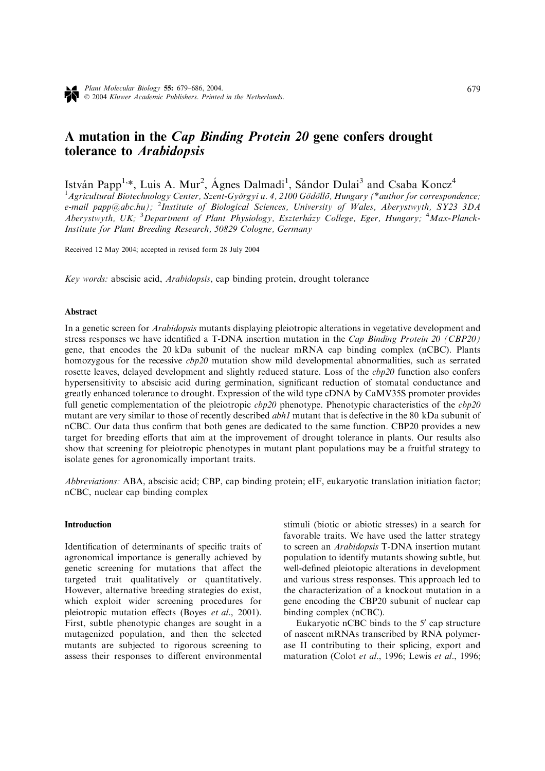# A mutation in the Cap Binding Protein 20 gene confers drought tolerance to Arabidopsis

István Papp<sup>1,\*</sup>, Luis A. Mur<sup>2</sup>, Ágnes Dalmadi<sup>1</sup>, Sándor Dulai<sup>3</sup> and Csaba Koncz<sup>4</sup> <sup>1</sup> Agricultural Biotechnology Center, Szent-Györgyi u. 4, 2100 Gödöllő, Hungary (\*author for correspondence; e-mail papp@abc.hu); <sup>2</sup>Institute of Biological Sciences, University of Wales, Aberystwyth, SY23 3DA Aberystwyth, UK; <sup>3</sup>Department of Plant Physiology, Eszterházy College, Eger, Hungary; <sup>4</sup>Max-Planck-Institute for Plant Breeding Research, 50829 Cologne, Germany

Received 12 May 2004; accepted in revised form 28 July 2004

Key words: abscisic acid, Arabidopsis, cap binding protein, drought tolerance

## Abstract

In a genetic screen for *Arabidopsis* mutants displaying pleiotropic alterations in vegetative development and stress responses we have identified a T-DNA insertion mutation in the Cap Binding Protein 20 (CBP20) gene, that encodes the 20 kDa subunit of the nuclear mRNA cap binding complex (nCBC). Plants homozygous for the recessive *cbp20* mutation show mild developmental abnormalities, such as serrated rosette leaves, delayed development and slightly reduced stature. Loss of the *cbp20* function also confers hypersensitivity to abscisic acid during germination, significant reduction of stomatal conductance and greatly enhanced tolerance to drought. Expression of the wild type cDNA by CaMV35S promoter provides full genetic complementation of the pleiotropic  $cbp20$  phenotype. Phenotypic characteristics of the  $cbp20$ mutant are very similar to those of recently described abh1 mutant that is defective in the 80 kDa subunit of nCBC. Our data thus confirm that both genes are dedicated to the same function. CBP20 provides a new target for breeding efforts that aim at the improvement of drought tolerance in plants. Our results also show that screening for pleiotropic phenotypes in mutant plant populations may be a fruitful strategy to isolate genes for agronomically important traits.

Abbreviations: ABA, abscisic acid; CBP, cap binding protein; eIF, eukaryotic translation initiation factor; nCBC, nuclear cap binding complex

# Introduction

Identification of determinants of specific traits of agronomical importance is generally achieved by genetic screening for mutations that affect the targeted trait qualitatively or quantitatively. However, alternative breeding strategies do exist, which exploit wider screening procedures for pleiotropic mutation effects (Boyes et al., 2001). First, subtle phenotypic changes are sought in a mutagenized population, and then the selected mutants are subjected to rigorous screening to assess their responses to different environmental stimuli (biotic or abiotic stresses) in a search for favorable traits. We have used the latter strategy to screen an Arabidopsis T-DNA insertion mutant population to identify mutants showing subtle, but well-defined pleiotopic alterations in development and various stress responses. This approach led to the characterization of a knockout mutation in a gene encoding the CBP20 subunit of nuclear cap binding complex (nCBC).

Eukaryotic nCBC binds to the  $5'$  cap structure of nascent mRNAs transcribed by RNA polymerase II contributing to their splicing, export and maturation (Colot et al., 1996; Lewis et al., 1996;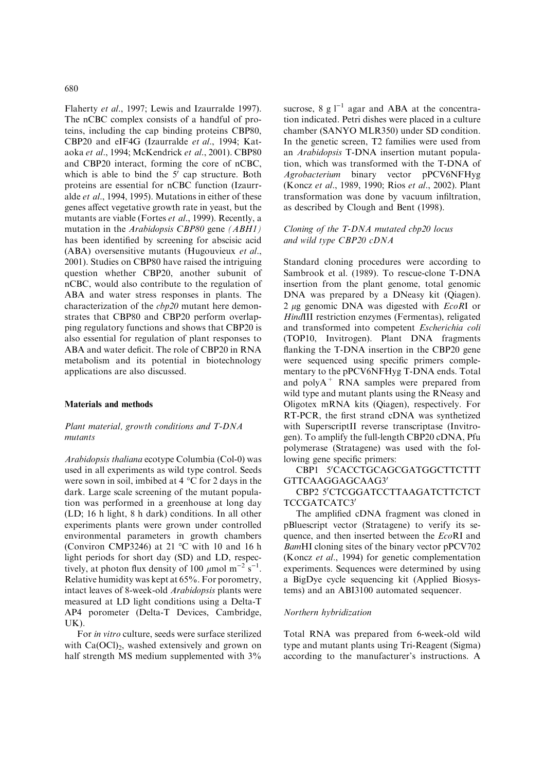Flaherty et al., 1997; Lewis and Izaurralde 1997). The nCBC complex consists of a handful of proteins, including the cap binding proteins CBP80, CBP20 and eIF4G (Izaurralde et al., 1994; Kataoka et al., 1994; McKendrick et al., 2001). CBP80 and CBP20 interact, forming the core of nCBC, which is able to bind the  $5'$  cap structure. Both proteins are essential for nCBC function (Izaurralde et al., 1994, 1995). Mutations in either of these genes affect vegetative growth rate in yeast, but the mutants are viable (Fortes et al., 1999). Recently, a mutation in the Arabidopsis CBP80 gene (ABH1) has been identified by screening for abscisic acid (ABA) oversensitive mutants (Hugouvieux et al., 2001). Studies on CBP80 have raised the intriguing question whether CBP20, another subunit of nCBC, would also contribute to the regulation of ABA and water stress responses in plants. The characterization of the cbp20 mutant here demonstrates that CBP80 and CBP20 perform overlapping regulatory functions and shows that CBP20 is also essential for regulation of plant responses to ABA and water deficit. The role of CBP20 in RNA metabolism and its potential in biotechnology applications are also discussed.

## Materials and methods

## Plant material, growth conditions and T-DNA mutants

Arabidopsis thaliana ecotype Columbia (Col-0) was used in all experiments as wild type control. Seeds were sown in soil, imbibed at  $4^{\circ}$ C for 2 days in the dark. Large scale screening of the mutant population was performed in a greenhouse at long day (LD; 16 h light, 8 h dark) conditions. In all other experiments plants were grown under controlled environmental parameters in growth chambers (Conviron CMP3246) at 21  $^{\circ}$ C with 10 and 16 h light periods for short day (SD) and LD, respectively, at photon flux density of 100  $\mu$ mol m<sup>-2</sup> s<sup>-1</sup>. Relative humidity was kept at 65%. For porometry, intact leaves of 8-week-old Arabidopsis plants were measured at LD light conditions using a Delta-T AP4 porometer (Delta-T Devices, Cambridge, UK).

For in vitro culture, seeds were surface sterilized with  $Ca(OCl)_{2}$ , washed extensively and grown on half strength MS medium supplemented with  $3\%$ 

sucrose, 8 g  $1^{-1}$  agar and ABA at the concentration indicated. Petri dishes were placed in a culture chamber (SANYO MLR350) under SD condition. In the genetic screen, T2 families were used from an Arabidopsis T-DNA insertion mutant population, which was transformed with the T-DNA of Agrobacterium binary vector pPCV6NFHyg (Koncz et al., 1989, 1990; Rios et al., 2002). Plant transformation was done by vacuum infiltration, as described by Clough and Bent (1998).

## Cloning of the T-DNA mutated cbp20 locus and wild type CBP20 cDNA

Standard cloning procedures were according to Sambrook et al. (1989). To rescue-clone T-DNA insertion from the plant genome, total genomic DNA was prepared by a DNeasy kit (Qiagen). 2  $\mu$ g genomic DNA was digested with  $EcoRI$  or HindIII restriction enzymes (Fermentas), religated and transformed into competent Escherichia coli (TOP10, Invitrogen). Plant DNA fragments flanking the T-DNA insertion in the CBP20 gene were sequenced using specific primers complementary to the pPCV6NFHyg T-DNA ends. Total and  $polyA^+$  RNA samples were prepared from wild type and mutant plants using the RNeasy and Oligotex mRNA kits (Qiagen), respectively. For RT-PCR, the first strand cDNA was synthetized with SuperscriptII reverse transcriptase (Invitrogen). To amplify the full-length CBP20 cDNA, Pfu polymerase (Stratagene) was used with the following gene specific primers:

CBP1 5'CACCTGCAGCGATGGCTTCTTT GTTCAAGGAGCAAG3'

# CBP2 5'CTCGGATCCTTAAGATCTTCTCT TCCGATCATC3'

The amplified cDNA fragment was cloned in pBluescript vector (Stratagene) to verify its sequence, and then inserted between the EcoRI and BamHI cloning sites of the binary vector pPCV702 (Koncz et al., 1994) for genetic complementation experiments. Sequences were determined by using a BigDye cycle sequencing kit (Applied Biosystems) and an ABI3100 automated sequencer.

## Northern hybridization

Total RNA was prepared from 6-week-old wild type and mutant plants using Tri-Reagent (Sigma) according to the manufacturer's instructions. A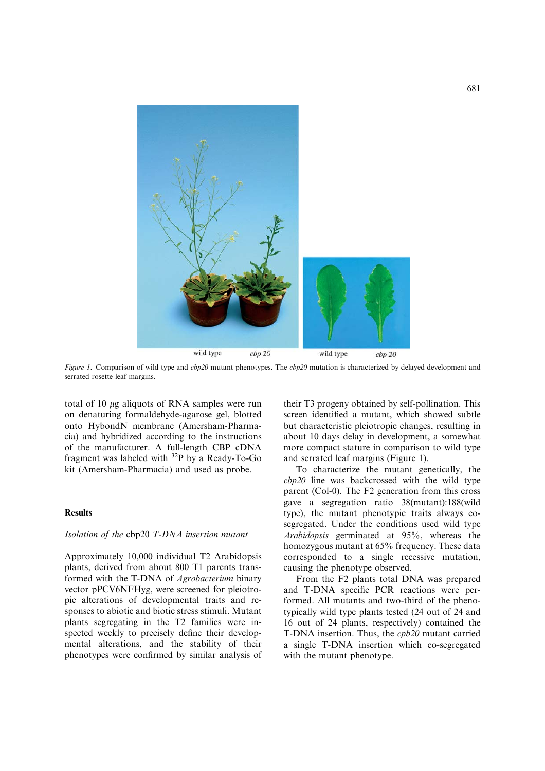

Figure 1. Comparison of wild type and cbp20 mutant phenotypes. The cbp20 mutation is characterized by delayed development and serrated rosette leaf margins.

total of 10  $\mu$ g aliquots of RNA samples were run on denaturing formaldehyde-agarose gel, blotted onto HybondN membrane (Amersham-Pharmacia) and hybridized according to the instructions of the manufacturer. A full-length CBP cDNA fragment was labeled with 32P by a Ready-To-Go kit (Amersham-Pharmacia) and used as probe.

## **Results**

# Isolation of the cbp20 T-DNA insertion mutant

Approximately 10,000 individual T2 Arabidopsis plants, derived from about 800 T1 parents transformed with the T-DNA of Agrobacterium binary vector pPCV6NFHyg, were screened for pleiotropic alterations of developmental traits and responses to abiotic and biotic stress stimuli. Mutant plants segregating in the T2 families were inspected weekly to precisely define their developmental alterations, and the stability of their phenotypes were confirmed by similar analysis of their T3 progeny obtained by self-pollination. This screen identified a mutant, which showed subtle but characteristic pleiotropic changes, resulting in about 10 days delay in development, a somewhat more compact stature in comparison to wild type and serrated leaf margins (Figure 1).

To characterize the mutant genetically, the cbp20 line was backcrossed with the wild type parent (Col-0). The F2 generation from this cross gave a segregation ratio 38(mutant):188(wild type), the mutant phenotypic traits always cosegregated. Under the conditions used wild type Arabidopsis germinated at 95%, whereas the homozygous mutant at 65% frequency. These data corresponded to a single recessive mutation, causing the phenotype observed.

From the F2 plants total DNA was prepared and T-DNA specific PCR reactions were performed. All mutants and two-third of the phenotypically wild type plants tested (24 out of 24 and 16 out of 24 plants, respectively) contained the T-DNA insertion. Thus, the cpb20 mutant carried a single T-DNA insertion which co-segregated with the mutant phenotype.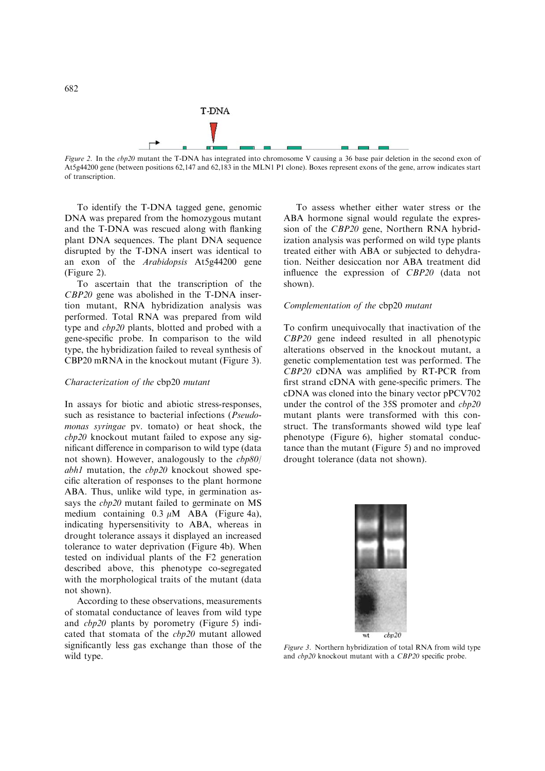

Figure 2. In the cbp20 mutant the T-DNA has integrated into chromosome V causing a 36 base pair deletion in the second exon of At5g44200 gene (between positions 62,147 and 62,183 in the MLN1 P1 clone). Boxes represent exons of the gene, arrow indicates start of transcription.

To identify the T-DNA tagged gene, genomic DNA was prepared from the homozygous mutant and the T-DNA was rescued along with flanking plant DNA sequences. The plant DNA sequence disrupted by the T-DNA insert was identical to an exon of the Arabidopsis At5g44200 gene (Figure 2).

To ascertain that the transcription of the CBP20 gene was abolished in the T-DNA insertion mutant, RNA hybridization analysis was performed. Total RNA was prepared from wild type and cbp20 plants, blotted and probed with a gene-specific probe. In comparison to the wild type, the hybridization failed to reveal synthesis of CBP20 mRNA in the knockout mutant (Figure 3).

## Characterization of the cbp20 mutant

In assays for biotic and abiotic stress-responses, such as resistance to bacterial infections (Pseudomonas syringae pv. tomato) or heat shock, the cbp20 knockout mutant failed to expose any significant difference in comparison to wild type (data not shown). However, analogously to the cbp80/ abh1 mutation, the cbp20 knockout showed specific alteration of responses to the plant hormone ABA. Thus, unlike wild type, in germination assays the *cbp20* mutant failed to germinate on MS medium containing  $0.3 \mu M$  ABA (Figure 4a), indicating hypersensitivity to ABA, whereas in drought tolerance assays it displayed an increased tolerance to water deprivation (Figure 4b). When tested on individual plants of the F2 generation described above, this phenotype co-segregated with the morphological traits of the mutant (data not shown).

According to these observations, measurements of stomatal conductance of leaves from wild type and cbp20 plants by porometry (Figure 5) indicated that stomata of the cbp20 mutant allowed significantly less gas exchange than those of the wild type.

To assess whether either water stress or the ABA hormone signal would regulate the expression of the CBP20 gene, Northern RNA hybridization analysis was performed on wild type plants treated either with ABA or subjected to dehydration. Neither desiccation nor ABA treatment did influence the expression of CBP20 (data not shown).

# Complementation of the cbp20 mutant

To confirm unequivocally that inactivation of the CBP20 gene indeed resulted in all phenotypic alterations observed in the knockout mutant, a genetic complementation test was performed. The CBP20 cDNA was amplified by RT-PCR from first strand cDNA with gene-specific primers. The cDNA was cloned into the binary vector pPCV702 under the control of the 35S promoter and  $cbp20$ mutant plants were transformed with this construct. The transformants showed wild type leaf phenotype (Figure 6), higher stomatal conductance than the mutant (Figure 5) and no improved drought tolerance (data not shown).



Figure 3. Northern hybridization of total RNA from wild type and cbp20 knockout mutant with a CBP20 specific probe.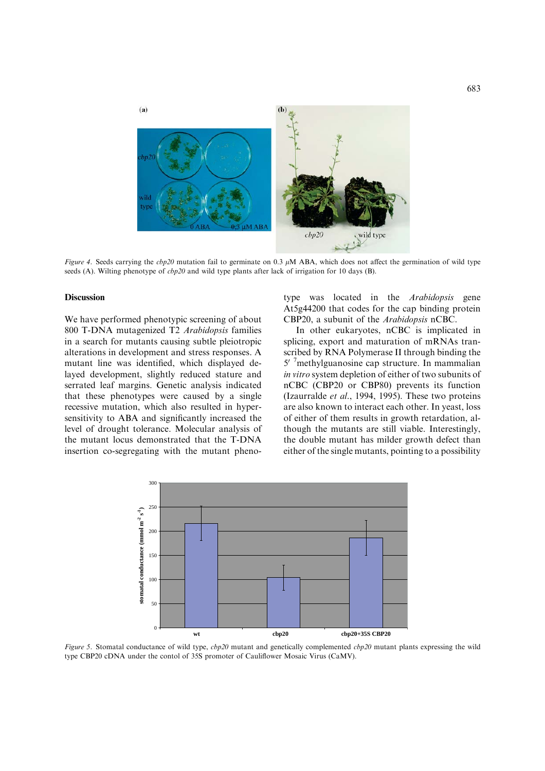

Figure 4. Seeds carrying the cbp20 mutation fail to germinate on 0.3  $\mu$ M ABA, which does not affect the germination of wild type seeds (A). Wilting phenotype of  $cbp20$  and wild type plants after lack of irrigation for 10 days (B).

## Discussion

We have performed phenotypic screening of about 800 T-DNA mutagenized T2 Arabidopsis families in a search for mutants causing subtle pleiotropic alterations in development and stress responses. A mutant line was identified, which displayed delayed development, slightly reduced stature and serrated leaf margins. Genetic analysis indicated that these phenotypes were caused by a single recessive mutation, which also resulted in hypersensitivity to ABA and significantly increased the level of drought tolerance. Molecular analysis of the mutant locus demonstrated that the T-DNA insertion co-segregating with the mutant phenotype was located in the Arabidopsis gene At5g44200 that codes for the cap binding protein CBP20, a subunit of the Arabidopsis nCBC.

In other eukaryotes, nCBC is implicated in splicing, export and maturation of mRNAs transcribed by RNA Polymerase II through binding the 5' <sup>7</sup>methylguanosine cap structure. In mammalian in vitro system depletion of either of two subunits of nCBC (CBP20 or CBP80) prevents its function (Izaurralde et al., 1994, 1995). These two proteins are also known to interact each other. In yeast, loss of either of them results in growth retardation, although the mutants are still viable. Interestingly, the double mutant has milder growth defect than either of the single mutants, pointing to a possibility



Figure 5. Stomatal conductance of wild type,  $cbp20$  mutant and genetically complemented  $cbp20$  mutant plants expressing the wild type CBP20 cDNA under the contol of 35S promoter of Cauliflower Mosaic Virus (CaMV).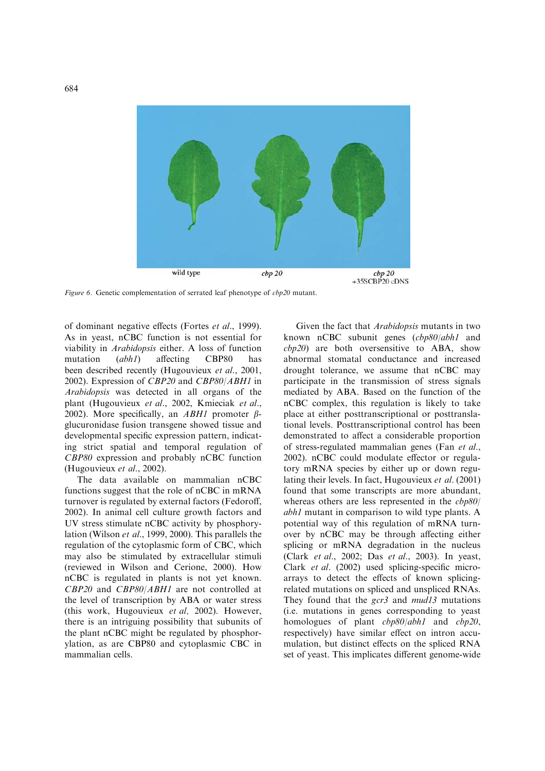

Figure 6. Genetic complementation of serrated leaf phenotype of  $cbp20$  mutant.

of dominant negative effects (Fortes et al., 1999). As in yeast, nCBC function is not essential for viability in Arabidopsis either. A loss of function mutation (*abh1*) affecting CBP80 has been described recently (Hugouvieux et al., 2001, 2002). Expression of CBP20 and CBP80/ABH1 in Arabidopsis was detected in all organs of the plant (Hugouvieux et al., 2002, Kmieciak et al., 2002). More specifically, an *ABH1* promoter  $\beta$ glucuronidase fusion transgene showed tissue and developmental specific expression pattern, indicating strict spatial and temporal regulation of CBP80 expression and probably nCBC function (Hugouvieux et al., 2002).

The data available on mammalian nCBC functions suggest that the role of nCBC in mRNA turnover is regulated by external factors (Fedoroff, 2002). In animal cell culture growth factors and UV stress stimulate nCBC activity by phosphorylation (Wilson et al., 1999, 2000). This parallels the regulation of the cytoplasmic form of CBC, which may also be stimulated by extracellular stimuli (reviewed in Wilson and Cerione, 2000). How nCBC is regulated in plants is not yet known. CBP20 and CBP80/ABH1 are not controlled at the level of transcription by ABA or water stress (this work, Hugouvieux et al, 2002). However, there is an intriguing possibility that subunits of the plant nCBC might be regulated by phosphorylation, as are CBP80 and cytoplasmic CBC in mammalian cells.

Given the fact that Arabidopsis mutants in two known nCBC subunit genes (cbp80/abh1 and cbp20) are both oversensitive to ABA, show abnormal stomatal conductance and increased drought tolerance, we assume that nCBC may participate in the transmission of stress signals mediated by ABA. Based on the function of the nCBC complex, this regulation is likely to take place at either posttranscriptional or posttranslational levels. Posttranscriptional control has been demonstrated to affect a considerable proportion of stress-regulated mammalian genes (Fan et al., 2002). nCBC could modulate effector or regulatory mRNA species by either up or down regulating their levels. In fact, Hugouvieux et al. (2001) found that some transcripts are more abundant, whereas others are less represented in the  $cbp80/$ abh1 mutant in comparison to wild type plants. A potential way of this regulation of mRNA turnover by nCBC may be through affecting either splicing or mRNA degradation in the nucleus (Clark et al., 2002; Das et al., 2003). In yeast, Clark et al. (2002) used splicing-specific microarrays to detect the effects of known splicingrelated mutations on spliced and unspliced RNAs. They found that the  $gcr3$  and  $mud13$  mutations (i.e. mutations in genes corresponding to yeast homologues of plant *cbp80/abh1* and *cbp20*, respectively) have similar effect on intron accumulation, but distinct effects on the spliced RNA set of yeast. This implicates different genome-wide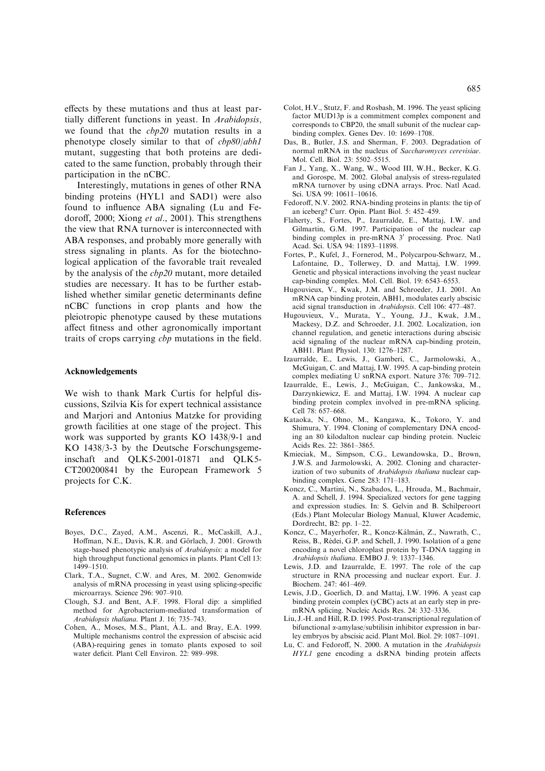effects by these mutations and thus at least partially different functions in yeast. In Arabidopsis, we found that the cbp20 mutation results in a phenotype closely similar to that of cbp80/abh1 mutant, suggesting that both proteins are dedicated to the same function, probably through their participation in the nCBC.

Interestingly, mutations in genes of other RNA binding proteins (HYL1 and SAD1) were also found to influence ABA signaling (Lu and Fedoroff, 2000; Xiong et al., 2001). This strengthens the view that RNA turnover is interconnected with ABA responses, and probably more generally with stress signaling in plants. As for the biotechnological application of the favorable trait revealed by the analysis of the cbp20 mutant, more detailed studies are necessary. It has to be further established whether similar genetic determinants define nCBC functions in crop plants and how the pleiotropic phenotype caused by these mutations affect fitness and other agronomically important traits of crops carrying cbp mutations in the field.

#### Acknowledgements

We wish to thank Mark Curtis for helpful discussions, Szilvia Kis for expert technical assistance and Marjori and Antonius Matzke for providing growth facilities at one stage of the project. This work was supported by grants KO 1438/9-1 and KO 1438/3-3 by the Deutsche Forschungsgemeinschaft and QLK5-2001-01871 and QLK5- CT200200841 by the European Framework 5 projects for C.K.

#### References

- Boyes, D.C., Zayed, A.M., Ascenzi, R., McCaskill, A.J., Hoffman, N.E., Davis, K.R. and Görlach, J. 2001. Growth stage-based phenotypic analysis of Arabidopsis: a model for high throughput functional genomics in plants. Plant Cell 13: 1499–1510.
- Clark, T.A., Sugnet, C.W. and Ares, M. 2002. Genomwide analysis of mRNA processing in yeast using splicing-specific microarrays. Science 296: 907–910.
- Clough, S.J. and Bent, A.F. 1998. Floral dip: a simplified method for Agrobacterium-mediated transformation of Arabidopsis thaliana. Plant J. 16: 735–743.
- Cohen, A., Moses, M.S., Plant, A.L. and Bray, E.A. 1999. Multiple mechanisms control the expression of abscisic acid (ABA)-requiring genes in tomato plants exposed to soil water deficit. Plant Cell Environ. 22: 989–998.
- Colot, H.V., Stutz, F. and Rosbash, M. 1996. The yeast splicing factor MUD13p is a commitment complex component and corresponds to CBP20, the small subunit of the nuclear capbinding complex. Genes Dev. 10: 1699–1708.
- Das, B., Butler, J.S. and Sherman, F. 2003. Degradation of normal mRNA in the nucleus of Saccharomyces cerevisiae. Mol. Cell. Biol. 23: 5502–5515.
- Fan J., Yang, X., Wang, W., Wood III, W.H., Becker, K.G. and Gorospe, M. 2002. Global analysis of stress-regulated mRNA turnover by using cDNA arrays. Proc. Natl Acad. Sci. USA 99: 10611–10616.
- Fedoroff, N.V. 2002. RNA-binding proteins in plants: the tip of an iceberg? Curr. Opin. Plant Biol. 5: 452–459.
- Flaherty, S., Fortes, P., Izaurralde, E., Mattaj, I.W. and Gilmartin, G.M. 1997. Participation of the nuclear cap binding complex in pre-mRNA 3' processing. Proc. Natl Acad. Sci. USA 94: 11893–11898.
- Fortes, P., Kufel, J., Fornerod, M., Polycarpou-Schwarz, M., Lafontaine, D., Tollerwey, D. and Mattaj, I.W. 1999. Genetic and physical interactions involving the yeast nuclear cap-binding complex. Mol. Cell. Biol. 19: 6543–6553.
- Hugouvieux, V., Kwak, J.M. and Schroeder, J.I. 2001. An mRNA cap binding protein, ABH1, modulates early abscisic acid signal transduction in Arabidopsis. Cell 106: 477–487.
- Hugouvieux, V., Murata, Y., Young, J.J., Kwak, J.M., Mackesy, D.Z. and Schroeder, J.I. 2002. Localization, ion channel regulation, and genetic interactions during abscisic acid signaling of the nuclear mRNA cap-binding protein, ABH1. Plant Physiol. 130: 1276–1287.
- Izaurralde, E., Lewis, J., Gamberi, C., Jarmolowski, A., McGuigan, C. and Mattaj, I.W. 1995. A cap-binding protein complex mediating U snRNA export. Nature 376: 709–712.
- Izaurralde, E., Lewis, J., McGuigan, C., Jankowska, M., Darzynkiewicz, E. and Mattaj, I.W. 1994. A nuclear cap binding protein complex involved in pre-mRNA splicing. Cell 78: 657–668.
- Kataoka, N., Ohno, M., Kangawa, K., Tokoro, Y. and Shimura, Y. 1994. Cloning of complementary DNA encoding an 80 kilodalton nuclear cap binding protein. Nucleic Acids Res. 22: 3861–3865.
- Kmieciak, M., Simpson, C.G., Lewandowska, D., Brown, J.W.S. and Jarmolowski, A. 2002. Cloning and characterization of two subunits of *Arabidopsis thaliana* nuclear capbinding complex. Gene 283: 171–183.
- Koncz, C., Martini, N., Szabados, L., Hrouda, M., Bachmair, A. and Schell, J. 1994. Specialized vectors for gene tagging and expression studies. In: S. Gelvin and B. Schilperoort (Eds.) Plant Molecular Biology Manual, Kluwer Academic, Dordrecht, B2: pp. 1–22.
- Koncz, C., Mayerhofer, R., Koncz-Kálmán, Z., Nawrath, C., Reiss, B., Rédei, G.P. and Schell, J. 1990. Isolation of a gene encoding a novel chloroplast protein by T-DNA tagging in Arabidopsis thaliana. EMBO J. 9: 1337–1346.
- Lewis, J.D. and Izaurralde, E. 1997. The role of the cap structure in RNA processing and nuclear export. Eur. J. Biochem. 247: 461–469.
- Lewis, J.D., Goerlich, D. and Mattaj, I.W. 1996. A yeast cap binding protein complex (yCBC) acts at an early step in premRNA splicing. Nucleic Acids Res. 24: 332–3336.
- Liu, J.-H. and Hill, R.D. 1995. Post-transcriptional regulation of bifunctional  $\alpha$ -amylase/subtilisin inhibitor expression in barley embryos by abscisic acid. Plant Mol. Biol. 29: 1087–1091.
- Lu, C. and Fedoroff, N. 2000. A mutation in the Arabidopsis HYL1 gene encoding a dsRNA binding protein affects